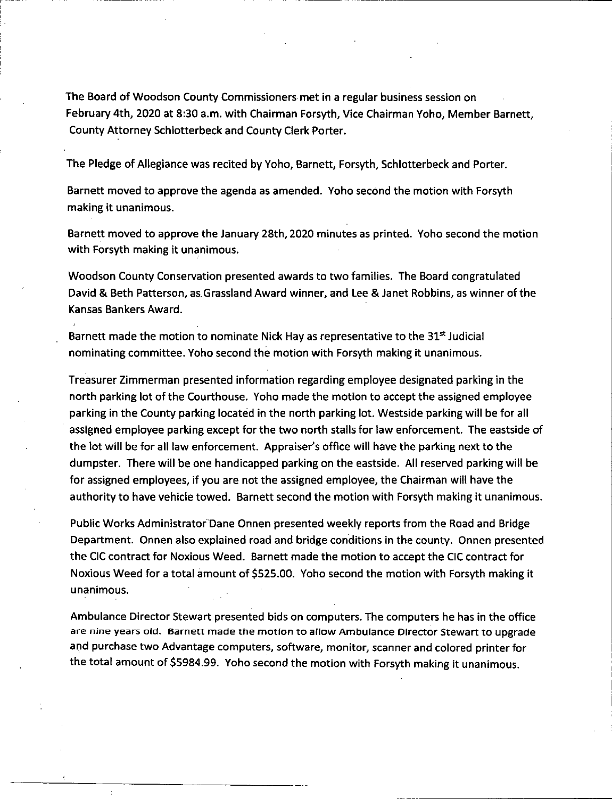The Board of Woodson County Commissioners met in a regular business session on February 4th, 2020 at 8:30 a.m. with Chairman Forsyth, Vice Chairman Yoho, Member Barnett, County Attorney Schlotterbeck and County Clerk Porter.

The Pledge of Allegiance was recited by Yoho, Barnett, Forsyth, Schlotterbeck and Porter.

Barnett moved to approve the agenda as amended. Yoho second the motion with Forsyth making it unanimous.

Barnett moved to approve the January 28th, 2020 minutes as printed. Yoho second the motion with Forsyth making it unanimous.

Woodson County Conservation presented awards to two families. The Board congratulated David & Beth Patterson, as Grassland Award winner, and Lee & Janet Robbins, as winner of the Kansas Bankers Award.

Barnett made the motion to nominate Nick Hay as representative to the  $31^{st}$  Judicial nominating committee. Yoho second the motion with Forsyth making it unanimous.

Treasurer Zimmerman presented information regarding employee designated parking in the north parking lot of the Courthouse. Yoho made the motion to accept the assigned employee parking in the County parking located in the north parking lot. Westside parking will be for all assigned employee parking except for the two north stalls for law enforcement. The eastside of the lot will be for all law enforcement. Appraiser's office will have the parking next to the dumpster. There will be one handicapped parking on the eastside. All reserved parking will be for assigned employees, if you are not the assigned employee, the Chairman will have the authority to have vehicle towed. Barnett second the motion with Forsyth making it unanimous.

Public Works Administrator Dane Onnen presented weekly reports from the Road and Bridge Department. Onnen also explained road and bridge conditions in the county. Onnen presented the CIC contract for Noxious Weed. Barnett made the motion to accept the CIC contract for Noxious Weed for a total amount of \$525.00. Yoho second the motion with Forsyth making it unanimous.

Ambulance Director Stewart presented bids on computers. The computers he has in the office are nine years old. Barnett made the motion to allow Ambulance Director Stewart to upgrade and purchase two Advantage computers, software, monitor, scanner and colored printer for the total amount of \$5984.99. Yoho second the motion with Forsyth making it unanimous.

 $\star$